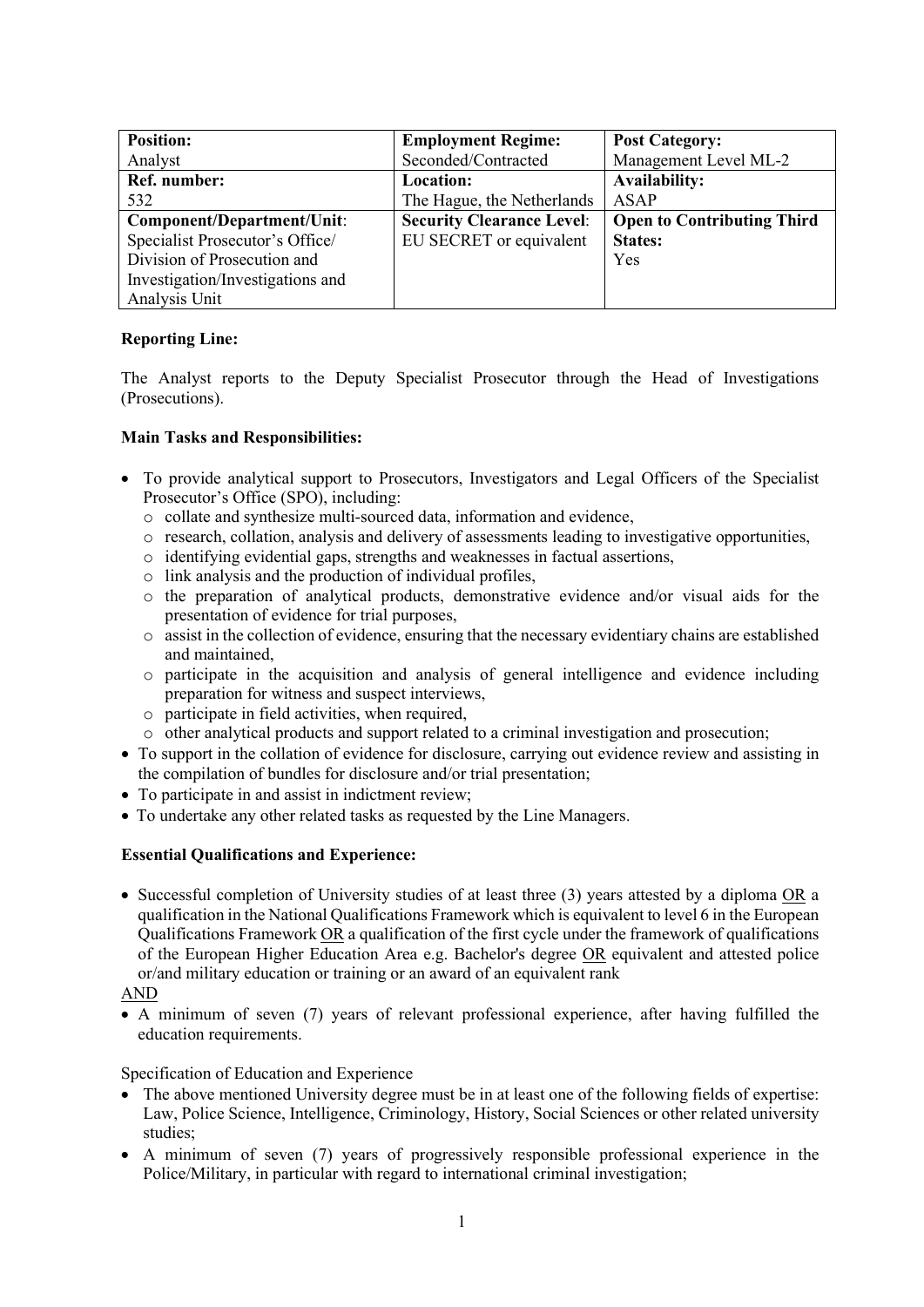| <b>Position:</b>                 | <b>Employment Regime:</b>        | <b>Post Category:</b>             |
|----------------------------------|----------------------------------|-----------------------------------|
| Analyst                          | Seconded/Contracted              | Management Level ML-2             |
| Ref. number:                     | <b>Location:</b>                 | <b>Availability:</b>              |
| 532                              | The Hague, the Netherlands       | ASAP                              |
| Component/Department/Unit:       | <b>Security Clearance Level:</b> | <b>Open to Contributing Third</b> |
| Specialist Prosecutor's Office/  | EU SECRET or equivalent          | <b>States:</b>                    |
| Division of Prosecution and      |                                  | Yes                               |
| Investigation/Investigations and |                                  |                                   |
| Analysis Unit                    |                                  |                                   |

# **Reporting Line:**

The Analyst reports to the Deputy Specialist Prosecutor through the Head of Investigations (Prosecutions).

## **Main Tasks and Responsibilities:**

- To provide analytical support to Prosecutors, Investigators and Legal Officers of the Specialist Prosecutor's Office (SPO), including:
	- o collate and synthesize multi-sourced data, information and evidence,
	- o research, collation, analysis and delivery of assessments leading to investigative opportunities,
	- o identifying evidential gaps, strengths and weaknesses in factual assertions,
	- o link analysis and the production of individual profiles,
	- o the preparation of analytical products, demonstrative evidence and/or visual aids for the presentation of evidence for trial purposes,
	- o assist in the collection of evidence, ensuring that the necessary evidentiary chains are established and maintained,
	- o participate in the acquisition and analysis of general intelligence and evidence including preparation for witness and suspect interviews,
	- o participate in field activities, when required,
	- o other analytical products and support related to a criminal investigation and prosecution;
- To support in the collation of evidence for disclosure, carrying out evidence review and assisting in the compilation of bundles for disclosure and/or trial presentation;
- To participate in and assist in indictment review;
- To undertake any other related tasks as requested by the Line Managers.

## **Essential Qualifications and Experience:**

• Successful completion of University studies of at least three (3) years attested by a diploma OR a qualification in the National Qualifications Framework which is equivalent to level 6 in the European Qualifications Framework OR a qualification of the first cycle under the framework of qualifications of the European Higher Education Area e.g. Bachelor's degree OR equivalent and attested police or/and military education or training or an award of an equivalent rank

## AND

• A minimum of seven (7) years of relevant professional experience, after having fulfilled the education requirements.

### Specification of Education and Experience

- The above mentioned University degree must be in at least one of the following fields of expertise: Law, Police Science, Intelligence, Criminology, History, Social Sciences or other related university studies;
- A minimum of seven (7) years of progressively responsible professional experience in the Police/Military, in particular with regard to international criminal investigation;